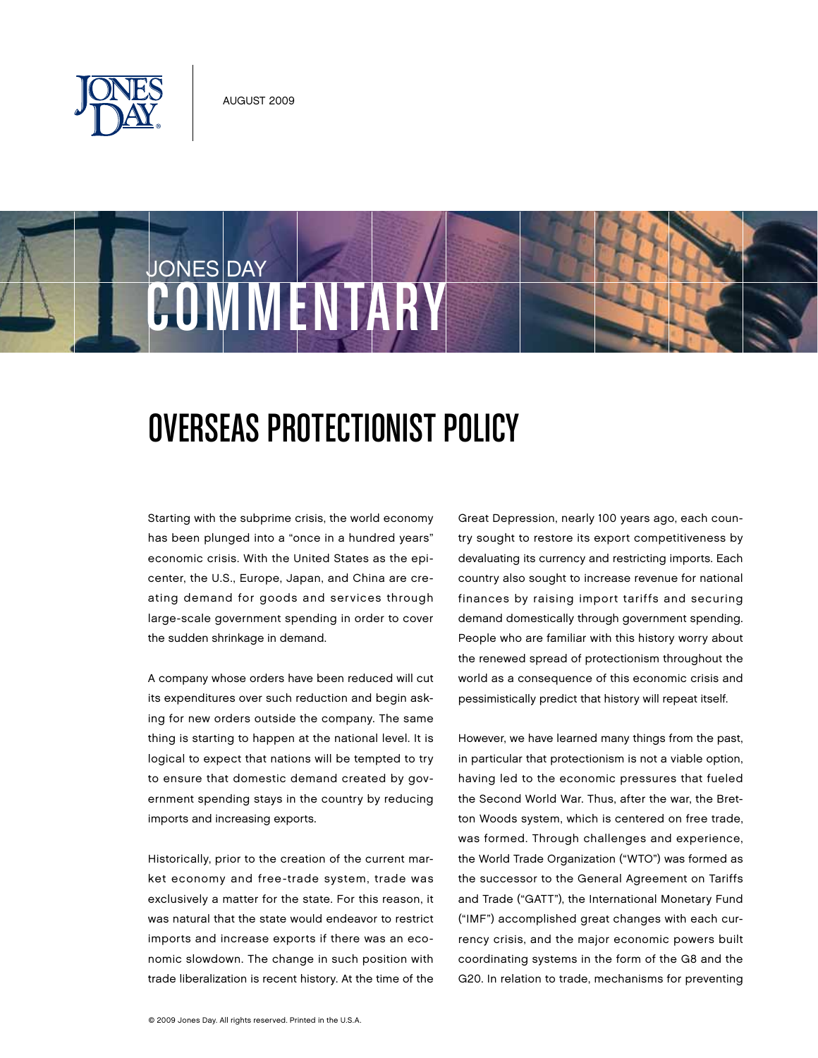



## JONES DAY COMMENTAR

## Overseas Protectionist Policy

Starting with the subprime crisis, the world economy has been plunged into a "once in a hundred years" economic crisis. With the United States as the epicenter, the U.S., Europe, Japan, and China are creating demand for goods and services through large-scale government spending in order to cover the sudden shrinkage in demand.

A company whose orders have been reduced will cut its expenditures over such reduction and begin asking for new orders outside the company. The same thing is starting to happen at the national level. It is logical to expect that nations will be tempted to try to ensure that domestic demand created by government spending stays in the country by reducing imports and increasing exports.

Historically, prior to the creation of the current market economy and free-trade system, trade was exclusively a matter for the state. For this reason, it was natural that the state would endeavor to restrict imports and increase exports if there was an economic slowdown. The change in such position with trade liberalization is recent history. At the time of the

Great Depression, nearly 100 years ago, each country sought to restore its export competitiveness by devaluating its currency and restricting imports. Each country also sought to increase revenue for national finances by raising import tariffs and securing demand domestically through government spending. People who are familiar with this history worry about the renewed spread of protectionism throughout the world as a consequence of this economic crisis and pessimistically predict that history will repeat itself.

However, we have learned many things from the past, in particular that protectionism is not a viable option, having led to the economic pressures that fueled the Second World War. Thus, after the war, the Bretton Woods system, which is centered on free trade, was formed. Through challenges and experience, the World Trade Organization ("WTO") was formed as the successor to the General Agreement on Tariffs and Trade ("GATT"), the International Monetary Fund ("IMF") accomplished great changes with each currency crisis, and the major economic powers built coordinating systems in the form of the G8 and the G20. In relation to trade, mechanisms for preventing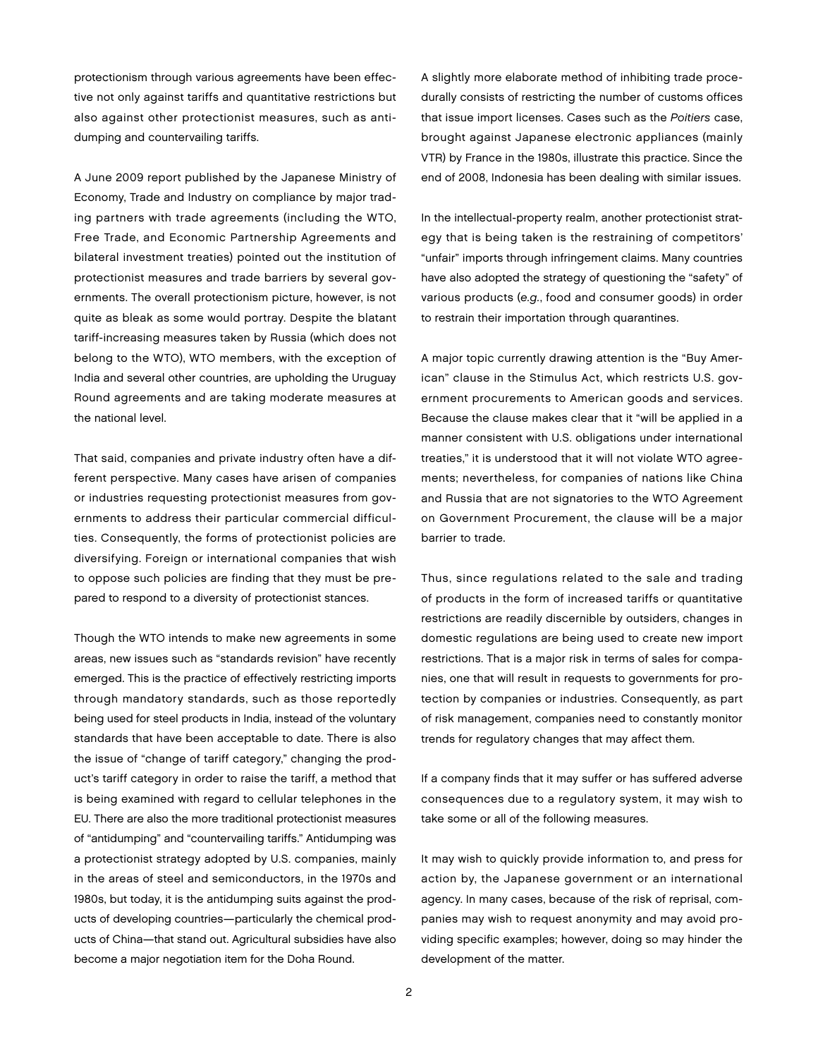protectionism through various agreements have been effective not only against tariffs and quantitative restrictions but also against other protectionist measures, such as antidumping and countervailing tariffs.

A June 2009 report published by the Japanese Ministry of Economy, Trade and Industry on compliance by major trading partners with trade agreements (including the WTO, Free Trade, and Economic Partnership Agreements and bilateral investment treaties) pointed out the institution of protectionist measures and trade barriers by several governments. The overall protectionism picture, however, is not quite as bleak as some would portray. Despite the blatant tariff-increasing measures taken by Russia (which does not belong to the WTO), WTO members, with the exception of India and several other countries, are upholding the Uruguay Round agreements and are taking moderate measures at the national level.

That said, companies and private industry often have a different perspective. Many cases have arisen of companies or industries requesting protectionist measures from governments to address their particular commercial difficulties. Consequently, the forms of protectionist policies are diversifying. Foreign or international companies that wish to oppose such policies are finding that they must be prepared to respond to a diversity of protectionist stances.

Though the WTO intends to make new agreements in some areas, new issues such as "standards revision" have recently emerged. This is the practice of effectively restricting imports through mandatory standards, such as those reportedly being used for steel products in India, instead of the voluntary standards that have been acceptable to date. There is also the issue of "change of tariff category," changing the product's tariff category in order to raise the tariff, a method that is being examined with regard to cellular telephones in the EU. There are also the more traditional protectionist measures of "antidumping" and "countervailing tariffs." Antidumping was a protectionist strategy adopted by U.S. companies, mainly in the areas of steel and semiconductors, in the 1970s and 1980s, but today, it is the antidumping suits against the products of developing countries—particularly the chemical products of China—that stand out. Agricultural subsidies have also become a major negotiation item for the Doha Round.

A slightly more elaborate method of inhibiting trade procedurally consists of restricting the number of customs offices that issue import licenses. Cases such as the Poitiers case, brought against Japanese electronic appliances (mainly VTR) by France in the 1980s, illustrate this practice. Since the end of 2008, Indonesia has been dealing with similar issues.

In the intellectual-property realm, another protectionist strategy that is being taken is the restraining of competitors' "unfair" imports through infringement claims. Many countries have also adopted the strategy of questioning the "safety" of various products (e.g., food and consumer goods) in order to restrain their importation through quarantines.

A major topic currently drawing attention is the "Buy American" clause in the Stimulus Act, which restricts U.S. government procurements to American goods and services. Because the clause makes clear that it "will be applied in a manner consistent with U.S. obligations under international treaties," it is understood that it will not violate WTO agreements; nevertheless, for companies of nations like China and Russia that are not signatories to the WTO Agreement on Government Procurement, the clause will be a major barrier to trade.

Thus, since regulations related to the sale and trading of products in the form of increased tariffs or quantitative restrictions are readily discernible by outsiders, changes in domestic regulations are being used to create new import restrictions. That is a major risk in terms of sales for companies, one that will result in requests to governments for protection by companies or industries. Consequently, as part of risk management, companies need to constantly monitor trends for regulatory changes that may affect them.

If a company finds that it may suffer or has suffered adverse consequences due to a regulatory system, it may wish to take some or all of the following measures.

It may wish to quickly provide information to, and press for action by, the Japanese government or an international agency. In many cases, because of the risk of reprisal, companies may wish to request anonymity and may avoid providing specific examples; however, doing so may hinder the development of the matter.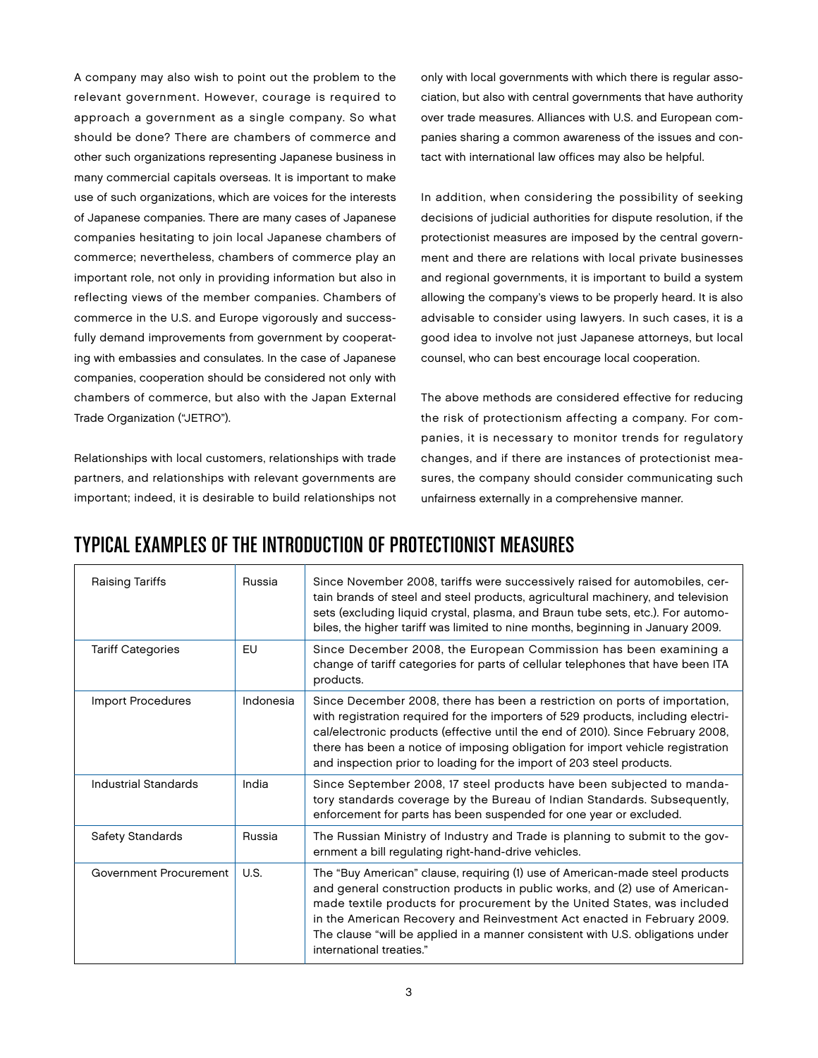A company may also wish to point out the problem to the relevant government. However, courage is required to approach a government as a single company. So what should be done? There are chambers of commerce and other such organizations representing Japanese business in many commercial capitals overseas. It is important to make use of such organizations, which are voices for the interests of Japanese companies. There are many cases of Japanese companies hesitating to join local Japanese chambers of commerce; nevertheless, chambers of commerce play an important role, not only in providing information but also in reflecting views of the member companies. Chambers of commerce in the U.S. and Europe vigorously and successfully demand improvements from government by cooperating with embassies and consulates. In the case of Japanese companies, cooperation should be considered not only with chambers of commerce, but also with the Japan External Trade Organization ("JETRO").

Relationships with local customers, relationships with trade partners, and relationships with relevant governments are important; indeed, it is desirable to build relationships not only with local governments with which there is regular association, but also with central governments that have authority over trade measures. Alliances with U.S. and European companies sharing a common awareness of the issues and contact with international law offices may also be helpful.

In addition, when considering the possibility of seeking decisions of judicial authorities for dispute resolution, if the protectionist measures are imposed by the central government and there are relations with local private businesses and regional governments, it is important to build a system allowing the company's views to be properly heard. It is also advisable to consider using lawyers. In such cases, it is a good idea to involve not just Japanese attorneys, but local counsel, who can best encourage local cooperation.

The above methods are considered effective for reducing the risk of protectionism affecting a company. For companies, it is necessary to monitor trends for regulatory changes, and if there are instances of protectionist measures, the company should consider communicating such unfairness externally in a comprehensive manner.

## TYPICAL EXAMPLES OF THE INTRODUCTION OF PROTECTIONIST MEASURES

| <b>Raising Tariffs</b>   | Russia    | Since November 2008, tariffs were successively raised for automobiles, cer-<br>tain brands of steel and steel products, agricultural machinery, and television<br>sets (excluding liquid crystal, plasma, and Braun tube sets, etc.). For automo-<br>biles, the higher tariff was limited to nine months, beginning in January 2009.                                                                                             |
|--------------------------|-----------|----------------------------------------------------------------------------------------------------------------------------------------------------------------------------------------------------------------------------------------------------------------------------------------------------------------------------------------------------------------------------------------------------------------------------------|
| <b>Tariff Categories</b> | EU        | Since December 2008, the European Commission has been examining a<br>change of tariff categories for parts of cellular telephones that have been ITA<br>products.                                                                                                                                                                                                                                                                |
| <b>Import Procedures</b> | Indonesia | Since December 2008, there has been a restriction on ports of importation,<br>with registration required for the importers of 529 products, including electri-<br>cal/electronic products (effective until the end of 2010). Since February 2008,<br>there has been a notice of imposing obligation for import vehicle registration<br>and inspection prior to loading for the import of 203 steel products.                     |
| Industrial Standards     | India     | Since September 2008, 17 steel products have been subjected to manda-<br>tory standards coverage by the Bureau of Indian Standards. Subsequently,<br>enforcement for parts has been suspended for one year or excluded.                                                                                                                                                                                                          |
| Safety Standards         | Russia    | The Russian Ministry of Industry and Trade is planning to submit to the gov-<br>ernment a bill regulating right-hand-drive vehicles.                                                                                                                                                                                                                                                                                             |
| Government Procurement   | U.S.      | The "Buy American" clause, requiring (1) use of American-made steel products<br>and general construction products in public works, and (2) use of American-<br>made textile products for procurement by the United States, was included<br>in the American Recovery and Reinvestment Act enacted in February 2009.<br>The clause "will be applied in a manner consistent with U.S. obligations under<br>international treaties." |